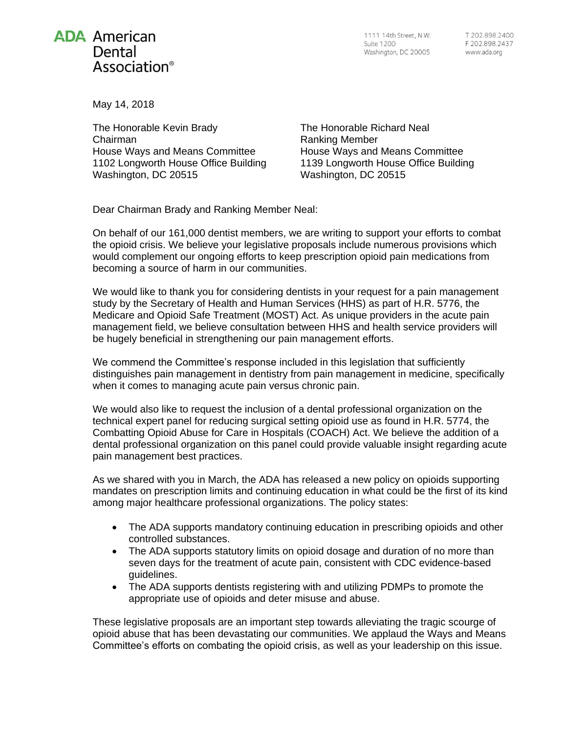## **ADA American** Dental Association<sup>®</sup>

1111 14th Street, N.W. Suite 1200 Washington, DC 20005

May 14, 2018

The Honorable Kevin Brady Chairman House Ways and Means Committee 1102 Longworth House Office Building Washington, DC 20515

The Honorable Richard Neal Ranking Member House Ways and Means Committee 1139 Longworth House Office Building Washington, DC 20515

Dear Chairman Brady and Ranking Member Neal:

On behalf of our 161,000 dentist members, we are writing to support your efforts to combat the opioid crisis. We believe your legislative proposals include numerous provisions which would complement our ongoing efforts to keep prescription opioid pain medications from becoming a source of harm in our communities.

We would like to thank you for considering dentists in your request for a pain management study by the Secretary of Health and Human Services (HHS) as part of H.R. 5776, the Medicare and Opioid Safe Treatment (MOST) Act. As unique providers in the acute pain management field, we believe consultation between HHS and health service providers will be hugely beneficial in strengthening our pain management efforts.

We commend the Committee's response included in this legislation that sufficiently distinguishes pain management in dentistry from pain management in medicine, specifically when it comes to managing acute pain versus chronic pain.

We would also like to request the inclusion of a dental professional organization on the technical expert panel for reducing surgical setting opioid use as found in H.R. 5774, the Combatting Opioid Abuse for Care in Hospitals (COACH) Act. We believe the addition of a dental professional organization on this panel could provide valuable insight regarding acute pain management best practices.

As we shared with you in March, the ADA has released a new policy on opioids supporting mandates on prescription limits and continuing education in what could be the first of its kind among major healthcare professional organizations. The policy states:

- The ADA supports mandatory continuing education in prescribing opioids and other controlled substances.
- The ADA supports statutory limits on opioid dosage and duration of no more than seven days for the treatment of acute pain, consistent with CDC evidence-based guidelines.
- The ADA supports dentists registering with and utilizing PDMPs to promote the appropriate use of opioids and deter misuse and abuse.

These legislative proposals are an important step towards alleviating the tragic scourge of opioid abuse that has been devastating our communities. We applaud the Ways and Means Committee's efforts on combating the opioid crisis, as well as your leadership on this issue.